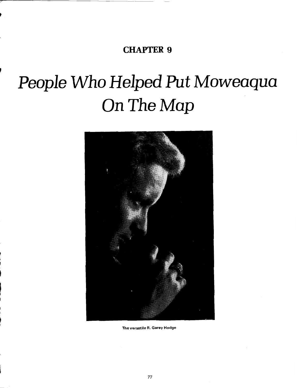**CHAPTER 9** 

**I** 

# People Who Helped Put Moweaqua On The Map



**Theversatile R. Garey Hodge**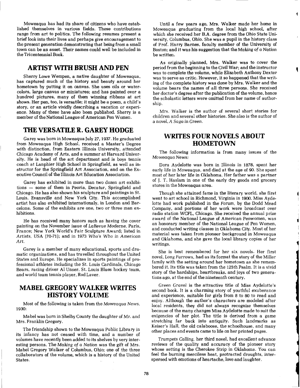Moweaqua has had its share of citizens who have established themselves in various fields. These contributions range from art to politics. The following resumes present a brief look into their lives and perhaps give encouragement to the present generation demonstrating that being from a small town can be an asset. Their names could well be included in the Tricentennial Book.

#### **ARTIST WITH BRUSH AND PEN**

Sherry Lowe Wempen, a native daughter of Moweaqua, has captured much of the history and beauty around her hometown by putting it on canvas. She uses oils or watercolors, large canvas or miniatures; and has painted over a hundred pictures, many of them winning ribbons at art shows. Her pen, too, is versatile; it might be a poem, a child's story, or an article vividly describing a vacation or experience. Many of these have also been published. Sherry is a member of the National League of American Pen Women.

#### **THE VERSATILE R. GAREY HODGE**

Garey was born in Moweaqua July 27,1937. He graduated from Moweaqua High School, received a Master's Degree with distinction, from Eastern Illinois University, attended Chicago Academy of Arts, and a bummer at Harvard University. He is head of the art department and is boys tennis coach at Lanphier High School in Springfield, as well as instructor for the Springfield Art Association, and on the Executive Council of the Illinois Art Education Association.

Garey has exhibited in more than two dozen art exhibitions - some of them in Peoria, Decatur, Springfield and Chicago. He has also shown his sculpture and paintings in St. Louis, Evansville and New York City. This accomplished artist has also exhibited internationaly, in London and Barcelona. Some of the exhibits are one, two or three man exhibitions.

He has received many honors such as having the cover painting on the November issue of LaRevue Moderne, Paris, France; New York World's Fair Sculpture Award; listed in Artists, USA (70-71); and in 1973 Who's Who in American Art.

Garey is a member of many educational, sports and dramatic organizations, and has travelled throughout the United States and Europe. He specializes in sports paintings of professional athletes including the St. Louis Cardinals, Chicago Bears, racing driver A1 Unser, St. Louis Blues hockey team, and world team tennis player, Rod Laver

### **MABEL GREGORY WALKER WRITES HISTORY VOLUME**

Most of the following is taken from the Moweaqua News, 1930:

Mabel was born in Shelby County the daughter of Mr. and Mrs. Franklin Gregory.

The friendship shown to the Moweaqua Public Library in its infancy has not ceased with time, and a number of volumes have recently been added to its shelves by very interesting persons. The Making of a Nation was the gift of Mrs. Mabel Gregory Walker of Columbus, Ohio; one of the three collaborators of the volume, which is a history of the United States.

Until a few years ago, Mrs. Walker made her home in Moweaqua graduating from the local high school, after which she received her B.A. degree from the Ohio State University, Columbus, Ohio. She was a pupil in the history class of Prof. Harry Barnes, faculty member of the University of Boston; and it was his suggestion that the Making of a Nation be written.

As originally planned, Mrs. Walker was to cover the period from the beginning to the Civil War; and the instructor was to complete the volume, while Elizabeth Anthony Dexter was to serve as critic. However, it so happened that the writing of the complete history was done by Mrs. Walker and the volume bears the names of all three persons. She received her doctor's degree after the publication of the volume, hence the scholastic letters were omitted from her name of authorship.

Mrs. Walker is the author of several short stories for children and several other histories. She also is the author of a novel, A Saga in Green.

#### **WRITES FOUR NOVELS ABOUT HOMETOWN**

The following information is from many issues of the Moweaqua News:

Dora Aydelotte was born in Illinois in 1878, spent her early life in Moweaqua, and died at the age of 90. She spent most of her later life in Oklahoma. Her father was a partner of J. T. Haslam in one of the early dry goods and grocery stores in the Moweaqua area.

Though she attained fame in the literary world, she first went to art school in Richmond, Virginia ia 1900. Miss Aydelotte had work published in the Forum, by the Dodd Mead Company, and portions of her work were broadcast over radio station WCFL, Chicago. She received the annual prize award of the National League of American Penwomen, was an honorary member of the National League of Pen Women, and conducted writing classes in Oklahoma City. Most of her material was taken from pioneer background in Moweaqua and Oklahoma, and she gave the local library copies of her writings.

She is best remembered for her six novels. Her first novel, Long Furrows, had as its format the story of the Miller family with the setting around her hometown as she remembered it. Its title was taken from the 125th Psalm. It is a vivid story of the hardships, heartbreaks, and joys of two generations ago, at the end of the nineteenth century.

Green Gravel is the attractive title of Miss Aydelotte's second book. It is a charming story of youthful exuberance and experience, suitable for girls from 8 to 80 to read and enjoy. Although the author's characters are modeled after local residents, they did not always recognize themselves because of the many changes Miss Aydelotte made to suit the exigencies of her plot. The title is derived from a game stretching far back into antiquity. Such landmarks as Keiser's Hall, the old calaboose, the schoolhouse, and many other places and events came to life on her printed pages.

Trumpets Calling, her third novel, had excellent advance reviews of the quality and accuracy of the pioneer story whose setting is the Cherokee Strip in Oklahoma. You can feel the burning merciless heat, protracted droughts, interspersed with emotions of heartache, love and laughter.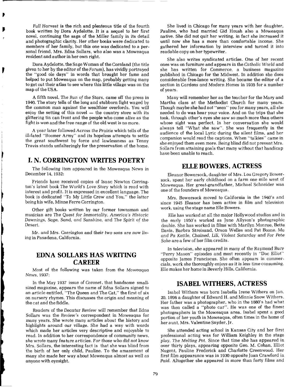Full Harvest is the rich and plenteous title of the fourth book written by Dora Aydelotte. It is a sequel to her first novel, continuing the saga of the Miller family in its detail and photographic clarity. Her other books were dedicated to members of her family, but this one was dedicated to a personal friend, Mrs. Edna Sollars, who also was a Moweaqua resident and author in her own right.

Dora Aydelotte, the Sage Woman of the Cornland (the title given to her by the editor of theForum), has vividly portrayed the "good ole days" in words that brought her fame and helped to put Moweaqua on the map, probably getting many to get out their atlas to see where this little village was on the map of the USA.

**A** fifth novel, The Run of the Stars, came off the press in 1940. The story tells of the long and stubborn fight waged by 1940. The story tens of the long and stabborn right waged by<br>the common man against the wealthier overlords. You will<br>enjoy the setting of this novel — the country store with its glittering tin can front and the people who come alive as the fight is won and the free range of the old west is no more.

A year later followed Across the Prairie which tells of the ill-fated "Boomer Army" and its hopeless attempts to settle the great southwest by force and lawlessness as Tenny Travis stands unfalteringly for the preservation of the home.

### **I. N. CORRINGTON WRITES POETRY**

The following item appeared in the Moweaqua News in December 14,1932:

Friends have received copies of Isaac Newton Corrington's latest book The World's Love Story which is read with interest and profit. It is expressed in excellent language. The book is dedicated "To My Little Crew and You," the latter being his wife, Minne Ferre Corrington.

Other gift books written by our former townsman and musician are The Quest for Immortality, America's Historic Dawnings, Sage, Sand, and Sunshine, and The Spirit of the Desert.

Mr. and Mrs. Corrington and their two sons are now living in Pasadena, California.

### **EDNA SOLLARS HAS WRITING CAREER**

Most of the following was taken from the Moweaqua News, 1937:

In the May 1937 issue of Coronet, that handsome smallsized magazine, appears the name of Edna Sollars signed to an article entitled, "The Queen and The Cat," the first of six on nursery rhymes. This discusses the origin and meaning of the cat and the fiddle.

Readers of the Decatur Review will remember that Edna Sollars was the Review's correspondent in Moweaqua for many years. She wrote many articles about the history and highlights around our village. She had a way with words which made her articles very descriptive and enjoyable to read. In addition to her correspondence of community news, she wrote many feature articles. For those who did not know Mrs. Sollars, the interesting fact is that she was blind from the birth of her only child, Pauline. To the amazement of many she made her way about Moweaqua almost as well as anyone with eyesight.

She lived in Chicago for many years with her daughter, Pauline, who had married Gid Housh also a Moweaqua native. She did not quit her writing, in fact she increased it until now she has a more than comfortable income. She gathered her information by interview and turned it into readable copy on her typewriter.

She also writes syndicated articles. One of her recent ones was on furniture and appears in the Catholic World and she has written for Commerce, a business magazine published in Chicago for the Midwest. In addition she does considerable free-lance writing. She became the editor of a section in Gardens and Modern Homes in 1935 for a number of years.

Many will remember her as the teacher for the Mary and Martha class at the Methodist Church for many years. Though maybe she had not "seen" you for many years, all she needed to do was hear your voice. And on the trips that she took, through other's eyes she saw so much more than others whose sight was perfect. In her conversation she would always tell "What she saw". She was frequently in the audience of the local Lyric during the silent films, and her companion would read the captions. When "talkies" came in she enjoyed them even more. Being blind did not prevent Mrs. Sollars from attaining goals that many without that handicap have been unable to reach.

#### **ELLE BOWERS** , **ACTRESS**

Eleanor Bowersock, daughter of Mrs. Lou Gregory Bowersock, spent her early childhood on a farm one mile west of Moweaqua. Her great-grandfather, Michael Schneider was one of the founders of Moweaqua.

Mrs. Bowersock moved to California in the 1940's and since 1945 Eleanor has been active in film and television work, using the stage name Elle Bowers.

Elle has worked at all the major Hollywood studios and in the early 1950's worked as June Allyson's photographic double. She has worked in films with Marilyn Monroe, Bette Davis, Barbra Streisand, Orson Welles and Pat Boone. Ma and Pa Kettle, Chained, Lili, Violent Saturday and For Pete Sake are a few of her film credits.

In television, she appeared in many of the Raymond Burr "Perry Mason" episodes and most recently in "Doc Elliot" opposite James Franciscus. She often appears in commercials, work she thoroughly enjoys as it is less time consuming. Elle makes her home in Beverly Hills, California.

#### **ISABEL WITHERS, ACTRESS**

Isabel Withers was born Isabella Irene Withers on Jan. 20, 1896 a daughter of Edward H. and Minnie Snow Withers. Her father was a photographer, who in the 1880's had what was then called a "photo car". He was one of the finest photographers in the Moweaqua area. Isabel spent a good portion of her youth in Moweaqua, often times in the home of her aunt, Mrs. Valentine Snyder, Jr.

She attended acting school in Kansas City and her first professional acting was for William Keighley in the stage play, The Melting Pot. Since that time she has appeared in over thirty plays, appearing opposite Geo. M. Cohan, Elliot Nugent, Pauline Frederick and Charlotte Greenwood. Her first film appearance was in 1930 opposite Joan Crawford in Paid. Altogether she appeared in more than forty films and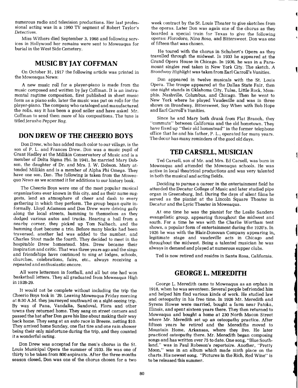numerous radio and television productions. Her last professional acting was in a 1960 TV segment of Robert Taylor's Detectives.

Miss Withers died September **3,** 1968 and following services in Hollywood her remains were sent to Moweaqua for burial in the West Side Cemetery.

#### **MUSIC BY JAY COFFMAN**

On October 31, 1917 the following article was printed in the Moweaqua News:

A new music roll for a player-piano is made from the music composed and written by Jay Coffman. It is an instrumental ragtime composition, first published in sheet music form as a piano solo, later the music was put on rolls for the player-piano. The company who cataloged and manufactured the rolls, say it has been a good seller and have asked Mr. Coffman to send them more of his compositions. The tune is titled Jerusha Pepper Rag.

#### **DON DREW OF THE CHEER10 BOYS**

DonDrew, who has added much color to our village, is the son of P. L. and Frances Drew. Don was a music pupil of Grant Hadley at the Millikin Conservatory of Music and is a member of Delta Sigma Phi. In 1941, he married Mary Dob son, the daughter of Dr. and Mrs. J. W. Dobson. Mary attended Millikin and is a member of Alpha Phi Omega. They have one son, Don. The following is taken from the Moweaqua News as we scanned it for additions to our history book.

The Cheerio Boys were one of the most popular musical organizations ever known in this city, and as their name suggests, lend an atmosphere of cheer and dash to every gathering in which they perform. The group began quite informally. Lloyd Adamson and Don Drew were driving gaily along the local streets, humming to themselves as they dodged various autos and trucks. Hearing a hail from a nearby corner, they picked up Tom Nalbach, and the humming duet became a trio. Before many blocks had been traversed, another lad was added to the number, and Charles Stout made the fourth. They decided to meet in the hospitable Drew homestead. Mrs. Drew became their inspiration and critic. That was three years ago and the sings and friendships have continued to sing at lodges, schools, churches, celebrations, fairs, etc., always receiving a repeated and enthusiastic encore.

All were lettermen in football, and all but one had won basketball letters. They all graduated from Moweaqua High in 1928-29.

It would not be complete without including the trip the Cheerio Boys took in '29. Leaving Moweaqua Friday morning at 8:30 A.M. they journeyed southward on a sight-seeing trip. By way of Pana, Vandalia, Sandoval, Flora and other towns they returned home. They sang on street corners and passed the hat after Don gave his line about making their way back home. They sang at an auto race in Breeze, netting \$10. They arrived home Sunday, one flat tire and one rain shower being their only misfortune during the trip, and they counted it a wonderful outing.

Don Drew was accepted for the men's chorus in the St. Louis Municipal Opera the summer of 1933. He was one of thirty to be taken from **800** aspirants. After the three months season closed, Don was one of the chorus chosen for a two

week contract by the St. Louis Theater to give sketches from the operas. Later Don was again one of the chorus as they boarded a special train for Texas to give the following operas: Florodora, Nina Rosa, and Bittersweet. Don was one of fifteen that was chosen.

He toured with the chorus in Schubert's Opera as they travelled through the midwest. In 1933 he appeared at the Grand Opera House in Chicago. In 1936, he was in a Paramount singles reel taken in New York City. The sketch, **A**  Broadway Highlight was taken from Earl Carroll's Vanities.

Don appeared in twelve musicals with the St. Louis Opera. The troupe appeared at the Dallas State Fair, then one night stands in Oklahoma City, Tulsa, Little Rock, Memphis, Nashville, Columbus, and Chicago. Then he went to New York where he played Vaudeville and was in three shows on Broadway, Bittersweet, Say When with Bob Hope and Earl Carroll's Vanities.

Since he and Mary both drank from Flat Branch, they "commute" between California and the old hometown. They have fixed up "their old homestead" in the former telephone office that he and his father, P. L., operated for many years. The decor has many reminders of the good old days.

#### **TED CARSELL, MUSICIAN**

Ted Carsell, son of Mr. and Mrs. Ed Carsell, was born in Moweaqua and attended the Moweaqua schools. He was active in local theatrical productions and was very talented in both the musical and acting fields.

Deciding to pursue a career in the entertainment field he attended the Decatur College of Music and later studied pipe organ in Greensburg, Ind. During the days of silent films he served as the pianist at the Lincoln Square Theater in Decatur and the Lyric Theater in Moweaqua.

At one time he was the pianist for the Leslie Sanders evangelistic group, appearing throughout the midwest and south. For a time he was with the Charlie Wortham tent shows, a popular form of entertainment during the 1920's. In 1926 he was with the Blair-Donovan Company appearing in. legitimate stage and vaudeville acts in Chicago and throughout the midwest. Being a talented musician he was always in demand and played at numerous supper clubs.

Ted is now retired and resides in Santa Rosa, California.

#### **GEORGE L. MEREDITH**

George L. Meredith came to Moweaqua as an orphan in 1918, when he was seventeen. Several people befriended him and helped'him find various kinds of work. He studied law and osteopathy in his free time. In 1926 Mr. Meredith and Syrena Howse were married, bought a farm near Patoka, Illinois, and spent sixteen years there. They then returned to Moweaqua and bought a home at 230 North Macon Street where Mr. Meredith set up an osteopathy practice. After fifteen years he retired and the Merediths moved to Mountain Home, Arkansas, where they iive. He later practiced osteopathy there. Mr. Meredith began composing songs and has written over **75** to date. One song, "Blue Southland," was in Paul Robeson's repertoire. Another, "Pretty Moon," was in an album which made ninth place on the charts. His newest song, "Pictures in the Rich, Red Wine" is to be released this summer.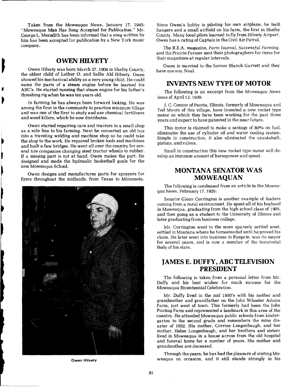Taken from the Moweaqua News, January 17, 1945: "Moweaqua Man Has Song Accepted for Publication." Mr. George L. Meredith has been informed that a song written by him has been accepted for publication by a New York music company.

**I COWEN HILVETY**<br>
Owen Hilvety was born March 27, 1904 in Shelby County,<br>
the oldest child of Luther O. and Sallie Ahl Hilvety. Owen Owen Hilvety was born March 27,1904 in Shelby County, showed his mechanical ability as a very young child. Ne could showed its inechancel abouty as a very young child. He could<br>hame the parts of a steam engine before he learned his<br>ABC's. He started running that steam engine for his father's

**b** threshing rig when he was ten years old. In farming he has always been forward looking. He was among the first in the community to practice minimum tillage and was one of the first to study and use chemical fertilizers and weed killers, which he now distributes.

> Owen started repairing cars and tractors in a small shop as a side line to his farming. Next he converted an old bus into a traveling welding and machine shop so he could take the shop to the work. He repaired broken tools and machines<br>and built a few bridges. He went all over the country for several tire companies changing steel tractor wheels to rubber. If a missing part is not at hand. Owen makes the part. He **k** designed and made the hydraulic basketball goals for the new Moweaqua School.

**1** Owen designs and manufactures parts for sprayers for **111 COMPACT COMPACT COMPACT COMPACT COMPACT COMPACT COMPACT COMPACT COMPACT COMPACT COMPACT COMPACT COMPACT COMPACT COMPACT COMPACT COMPACT COMPACT COMPACT COMPACT** 



Since Owen's hobby is piloting his own airplane, he built hangers and a small airfield on his farm, the first in Shelby County. Many local pilots learned to fly from Hilvety Airport. Owen has a rating of Captain in the Civil Air Patrol.

The R.E.A. magazine, Farm Journal, SuccessfuI Farming, and the Prairie Farmer sent their photographers for items for their magazines at regular intervals.

Owen is married to the former Blanch Garrett and they have one son. Neal.

#### **INVENTS NEW TYPE OF MOTOR**

The following is an excerpt from the Moweaqua News issue of April 12,1939:

J. C. Connor of Peoria, Illinois, formerly of Moweaqua and Ted Moore of this village, have invented a new rocket type motor on which they have been working for the past three years and expect to have patented in the near future.

This motor is claimed to make a savings of 80% on fuel, eliminates the use of cylinder oil and water cooling system. Simple in construction, it also eliminated the crankshaft, pistons, and valves.

Small in construction this new rocket type motor will develop an immense amount of horsepower and speed.

## **MONTANA SENATOR WAS**

The following is condensed from an article in the Moweaqua News, February 17,1926:

Senator Glenn Corrington is another example of leaders coming from a rural environment. He spent all of his boyhood in Moweaqua, graduating from the high school class of 1905, and then going as a student to the University of Illinois and later graduating from business college.

Mr. Corrington went to the more sparsely settled west, settled in Montana where he homesteaded until he proved his claim. He later went into business in Ryegate, was its mayor for several years, and is now a member of the Senatorial Body of his state.

### **JAMES E. DUFFY, ABC TELEVISION PRESIDENT**

The following is taken from a personal letter from Mr. Duffy and his best wishes for much success for the Moweaqua Bicentennial Celebration.

Mr. Duffy lived in the mid 1930's with his mother and grandmother and grandfather on the John Wheeler Adams Farm, just west of town. This formerly had been the John Ponting Farm and represented a landmark in this area of the country. He attended Moweaqua public schools from kindergarten to the second grade and remembers the mine disaster of 1932. His mother, Corrine Longenbaugh, and her mother, Helen Longenbaugh, and her brothers and sisters lived in Moweaqua in a house across from the old hospital and funeral home for a number of years. His mother and grandmother are deceased.

Through the years, he has had the pleasure of visiting MG **Owen Hilvety** weaqua on occasion, and it still stands strongly in his